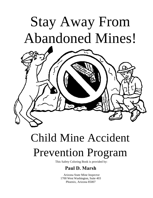# Stay Away From Abandoned Mines!



## Child Mine Accident Prevention Program

This Safety Coloring Book is provided by:

#### **Paul D. Marsh**

Arizona State Mine Inspector 1700 West Washington, Suite 403 Phoenix, Arizona 85007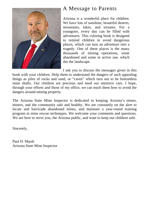

#### A Message to Parents

Arizona is a wonderful place for children. We have lots of sunshine, beautiful deserts, mountains, lakes, and streams. For a youngster, every day can be filled with adventures. This coloring book is designed to remind children to avoid dangerous places, which can turn an adventure into a tragedy. One of these places is the many thousands of mining operations, some abandoned and some in active use, which dot the landscape.

I ask you to discuss the messages given in this

book with your children. Help them to understand the dangers of such appealing things as piles of rocks and sand, or "caves" which turn out to be bottomless mine shafts. Our children are precious and need our attentive care. I hope, through your efforts and those of my office, we can teach them how to avoid the dangers around mining property.

The Arizona State Mine Inspector is dedicated to keeping Arizona's mines, miners, and the community safe and healthy. We are constantly on the alert to locate and barricade abandoned mines, and maintain a year-round training program in mine rescue techniques. We welcome your comments and questions. We are here to serve you, the Arizona public, and want to keep our children safe.

Sincerely,

Paul D. Marsh Arizona State Mine Inspector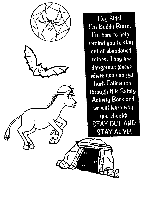

Hey Kids! I'm Buddy Burro. I'm here to help remind you to stay out of abandoned mines. They are dangerous places where you can get hurt. Follow me through this Safety **Activity Book and** we will learn why you should: STAY OUT AND STAY ALIVE!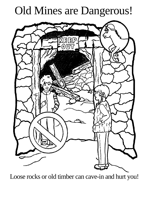## Old Mines are Dangerous!



Loose rocks or old timber can cave-in and hurt you!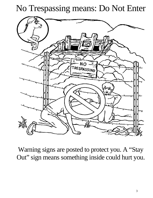#### No Trespassing means: Do Not Enter



Warning signs are posted to protect you. A "Stay Out" sign means something inside could hurt you.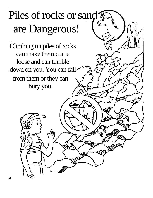## Piles of rocks or sand are Dangerous!

(2)

Climbing on piles of rocks can make them come loose and can tumble down on you. You can fall from them or they can bury you.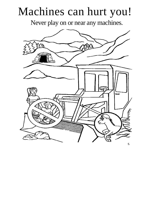## Machines can hurt you!

Never play on or near any machines.

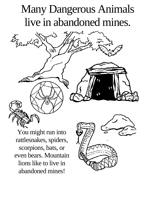### Many Dangerous Animals live in abandoned mines.

You might run into rattlesnakes, spiders, scorpions, bats, or even bears. Mountain lions like to live in abandoned mines!

Forz<br>28 m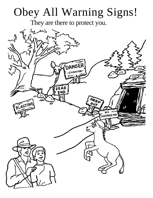## Obey All Warning Signs!

They are there to protect you.

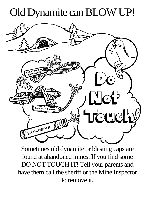## Old Dynamite can BLOW UP!



Sometimes old dynamite or blasting caps are found at abandoned mines. If you find some DO NOT TOUCH IT! Tell your parents and have them call the sheriff or the Mine Inspector to remove it.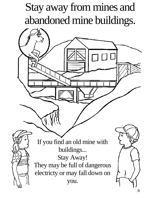## Stay away from mines and abandoned mine buildings.

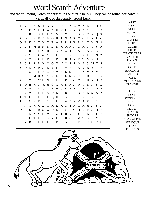#### Word Search Adventure

Find the following words or phrases in the puzzle below. They can be found horizontally, vertically, or diagonally. Good Luck!

|               |               |              |              |                |                |                |                |                       |              |             |                |             |               |              |              |              |              |               | <b>ADIT</b>                           |
|---------------|---------------|--------------|--------------|----------------|----------------|----------------|----------------|-----------------------|--------------|-------------|----------------|-------------|---------------|--------------|--------------|--------------|--------------|---------------|---------------------------------------|
| D             | $\mathbf{V}$  | $\mathbf T$  |              | X S T          |                |                |                | A Y O U T Z W V A E T |              |             |                |             |               |              |              |              | H G          |               | <b>BAD AIR</b>                        |
| D             | L             | P            |              | X H            | $\mathbf{I}$   | $\Omega$       |                | K H U I               |              |             |                | D Y N       |               |              | A M I        |              | T            | E             | <b>BATS</b>                           |
| U             | U             | B            | N            |                | A D            | $\mathbf{I}$   | $\mathbf T$    |                       |              | M N Y E B   |                |             | G             |              | V O X Q      |              |              | <sub>S</sub>  | <b>BURRO</b>                          |
| P             | $\Omega$      | T            | N            | $\mathbf F$    | B              | V              | G              | B                     | $\mathbf T$  |             | G A S          |             | $C_{0}$       |              | U            | $\mathbf{K}$ | J            | $\mathcal{C}$ | <b>BURY</b>                           |
|               |               |              |              |                |                |                |                |                       |              |             |                |             |               |              |              |              |              |               | <b>CAVE-IN</b>                        |
| O             | P             | $\bf K$      | J            | T              | M              | N F            |                | A F                   |              | D           | T P            |             | $R$ I         |              | N            | K U          |              | A             | <b>CLIFF</b>                          |
| $\mathcal{C}$ | L             | $\mathbf{I}$ | M B          |                | $\mathbf N$    |                | $K$ L          | D                     |              | M M H I     |                |             | L K           |              | $\mathbf{T}$ | T            | $\mathbf{I}$ | P             | <b>CLIMB</b>                          |
| L             | B             | B            | $\mathbf{J}$ | $\bf{I}$       | Y              |                |                | R H A Z Q T D         |              |             |                |             | $\mathbf{X}$  | H            | A J          |              | K E          |               | <b>COPPER</b>                         |
| $\mathbf I$   | $\mathbf{R}$  |              | V H C A      |                |                | $\mathbf{V}$   | E              | $\mathbf{I}$          | N S          |             | R E            |             | $\mathbf{P}$  | S            | $\mathbf I$  | $\mathbf{J}$ | N            | Z             | <b>DEATH TRAP</b><br><b>DYNAM ITE</b> |
| F             | S.            | X G          |              |                | O <sub>L</sub> | D              | B              | $\mathbf{R}$          | $\mathbf{I}$ |             | H A R          |             | T             | T            | $\mathbf N$  | Y            | U            | H             | <b>ESCAPE</b>                         |
| F             | $\mathcal{C}$ | $L$ $P$      |              | P K            |                | 0 <sub>0</sub> |                | $\mathbf N$           |              | NOPS        |                |             | M A S         |              |              |              | M X S        |               | <b>GAS</b>                            |
| Y             | $\Omega$      | N            | N            | $\mathbf{P}$   | $\bf{J}$       | K S            |                | $\mathbf I$           |              | L V         | E R            |             | B             | Y B          |              | B            | $\top$       | $\mathbf{X}$  | <b>GOLD</b>                           |
| H             | $\mathbf{R}$  | $\Omega$     | $\Omega$     | E              | J              | $\overline{O}$ |                | D Y K E M R S         |              |             |                |             |               | A V          |              | A V          |              | $\mathbf{F}$  | <b>HARDHAT</b>                        |
|               |               |              |              |                |                |                |                |                       |              |             |                |             |               |              |              |              |              |               | <b>LADDER</b>                         |
| U             | P             | J            |              |                |                |                |                | MROCKLNLMKKLB         |              |             |                |             |               |              |              | U            | R Y          |               | <b>MINE</b>                           |
| Z             | $\mathbf I$   | $X_{-}$      |              |                | O WH G         |                | H J            |                       |              |             |                | N K L O O I |               |              |              |              | H K H B      |               | <b>MOUNTAINS</b>                      |
| B             | $\Omega$      |              |              |                |                |                |                | H H J K A G G R D H J |              |             |                |             |               |              | M V K I      |              | S.           | $\mathbf{L}$  | <b>OPEN PIT</b>                       |
| L             | N             | ML           |              | $\mathbf{I}$   | U              |                | G R H          |                       | G D          |             | H N            |             | $\mathbf{I}$  | E            | P            | $\mathbf I$  | N            | H             | <b>ORE</b>                            |
| B             | <sub>S</sub>  |              | V H          | N L            |                |                | A D            | D                     | E            | R H T       |                |             | $\mathbf N$   | $\mathbf{F}$ | D            | <sub>S</sub> | $\mathsf{A}$ | A             | <b>PICK</b>                           |
| T             | T             | U            | $\mathbf I$  | H              | $\mathbf T$    | J              | $\mathbf{O}$   | H                     |              | H N H J     |                |             | E             | V            | T            | N            | $K$ I        |               | <b>ROCK</b>                           |
| T             | U             | $\mathbf N$  | $\mathbf N$  | E              | L              | S              | J              | $\mathbf I$           |              | H A B N     |                |             | $\mathbf{K}$  | $\mathbf{P}$ | $\mathbf{R}$ | J            | E            | $\mathbf{I}$  | <b>SCORPIONS</b><br><b>SHAFT</b>      |
| N             | J             | G            | H C Z        |                |                |                |                | Q X L K N T F         |              |             |                |             | $\mathcal{C}$ | H            | A J          |              | S            | J             | <b>SHOVEL</b>                         |
|               |               |              |              |                |                |                |                |                       |              |             |                |             |               |              |              |              |              |               | <b>SILVER</b>                         |
| O             | B             | U            | $\mathbf R$  | R <sub>o</sub> |                |                |                | O O K L               |              | J           | H C            |             | H             | $\bf U$      | P            | $\bf{J}$     | H N          |               | <b>SNAKES</b>                         |
| H             | H             | N            | $\mathbf N$  |                | G R            |                | W G C          |                       | $\mathbf T$  | H           | V F            |             | J             | $\mathbf{L}$ | K L          |              | $\bf{J}$     | N             | <b>SPIDERS</b>                        |
| B             | H             | $\mathbf{I}$ | T            | $\mathbf{F}$   | E              | G              | $\mathbf Y$    | $\mathbf I$           | $\mathbf F$  | H           | $\overline{Q}$ | E           | W             | T            | G            | D            | $\mathbf{Y}$ | H             | <b>STAY ALIVE</b>                     |
| U             | Y             | $\mathbf{R}$ | G            | $H$ B          |                | J              | $\overline{O}$ | $\mathbf{P}$          | E            | $\mathbf N$ | $P$ I          |             | T             | $\mathbf{I}$ | $\Omega$     | G            | T            | $-G$          | <b>STAY OUT</b>                       |
|               |               |              |              |                |                |                |                |                       |              |             |                |             |               |              |              |              |              |               | <b>TRAP</b>                           |
|               |               |              |              |                |                |                |                |                       |              |             |                |             |               |              |              |              |              |               | <b>TUNNELS</b>                        |
|               |               |              |              |                |                |                |                |                       |              |             |                |             |               |              |              |              |              |               |                                       |

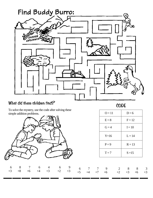

#### What did these children find?

6  $+3$ 

8 +8

7 +6

To solve the mystery, use the code after solving these simple addition problems.



6  $+4$ 

4  $+3$ 

6  $+2$ 

9 +3 CODE

| $Q = 11$ | $D=6$    |
|----------|----------|
| $E = 8$  | $F = 12$ |
| $G = 4$  | $I = 10$ |
| $Y=16$   | $L = 14$ |
| $P = 9$  | $R = 13$ |
| $T = 7$  | $S = 15$ |

6 7 7 9 2 8 8 3 +5 +4 +7 +6 +2 +3 +6 +3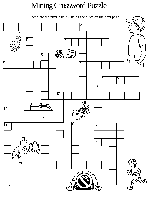#### Mining Crossword Puzzle

Complete the puzzle below using the clues on the next page.

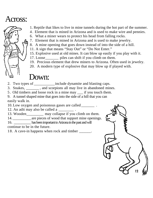#### Across:



- 1. Reptile that likes to live in mine tunnels during the hot part of the summer.
- 4 . Element that is mined in Arizona and is used to make wire and pennies.
- 6. What a miner wears to protect his head from falling rocks.
- 7. Element that is mined in Arizona and is used to make jewelry.
- 8. A mine opening that goes down instead of into the side of a hill.
- 11. A sign that means "Stay Out" or "Do Not Enter."
- 15. Explosive used at old mines. It can blow up easily if you play with it.
- 17. Loose\_\_\_\_\_\_\_ piles can shift if you climb on them.
- 19. Precious element that drew miners to Arizona. Often used in jewelry.
- 20. A modern type of explosive that may blow up if played with.

#### Down:

- 2. Two types of \_\_\_\_\_\_\_\_\_\_\_include dynamite and blasting caps.
- 3. Snakes, \_\_\_\_\_\_\_ , and scorpions all may live in abandoned mines.
- 5 . Old timbers and loose rock in a mine may \_\_\_ if you touch them.

9. A tunnel shaped mine that goes into the side of a hill that you can easily walk in.

10. Low oxygen and poisonous gases are called \_\_\_\_\_\_\_ .

12. An adit may also be called a \_\_\_\_\_\_\_\_ .

13. Wooden\_\_\_\_\_\_\_\_\_ may collapse if you climb on them.

14. \_\_\_\_\_\_\_\_\_\_\_\_\_\_\_\_ are pieces of wood that support mine openings.

16. \_\_\_\_\_\_\_\_\_\_\_\_ has been important to Arizona in the past and will

continue to be in the future.

18. A cave-in happens when rock and timber  $\qquad \qquad$ .

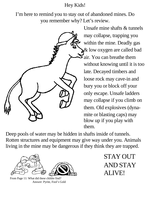Hey Kids!

I'm here to remind you to stay out of abandoned mines. Do you remember why? Let's review.



Unsafe mine shafts & tunnels may collapse, trapping you within the mine. Deadly gas  $\&$  low oxygen are called bad air. You can breathe them without knowing until it is too late. Decayed timbers and loose rock may cave-in and bury you or block off your only escape. Unsafe ladders may collapse if you climb on them. Old explosives (dynamite or blasting caps) may blow up if you play with them.

Deep pools of water may be hidden in shafts inside of tunnels. Rotten structures and equipment may give way under you. Animals living in the mine may be dangerous if they think they are trapped.



From Page 11: What did these childre find? Answer: Pyrite, Fool's Gold

STAY OUT AND STAY ALIVE!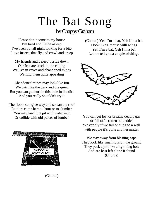# The Bat Song

byChappyGraham

Please don't come to my house I'm tired and I'll be asleep I've been out all night looking for a bite I love insects that fly and crawl and creep

My friends and I sleep upside down Our feet are stuck to the ceiling We live in caves and abandoned mines We find them quite appealing

Abandoned mines may look like fun We bats like the dark and the quiet But you can get hurt in this hole in the dirt And you really shouldn't try it

The floors can give way and so can the roof Rattlers come here to hunt or to slumber You may land in a pit with water in it Or collide with old peices of lumber



(Chorus)

(Chorus) Yeh I'm a bat, Yeh I'm a bat I look like a mouse with wings Yeh I'm a bat, Yeh I'm a bat Let me tell you a couple of things



You can get lost or breathe deadly gas or fall off a rotten old ladder We can fly if we fall or cling to a wall with people it's quite another matter

We stay away from blasting caps They look like small toys on the ground They pack a jolt like a lightning bolt And are best left alone if found (Chorus)